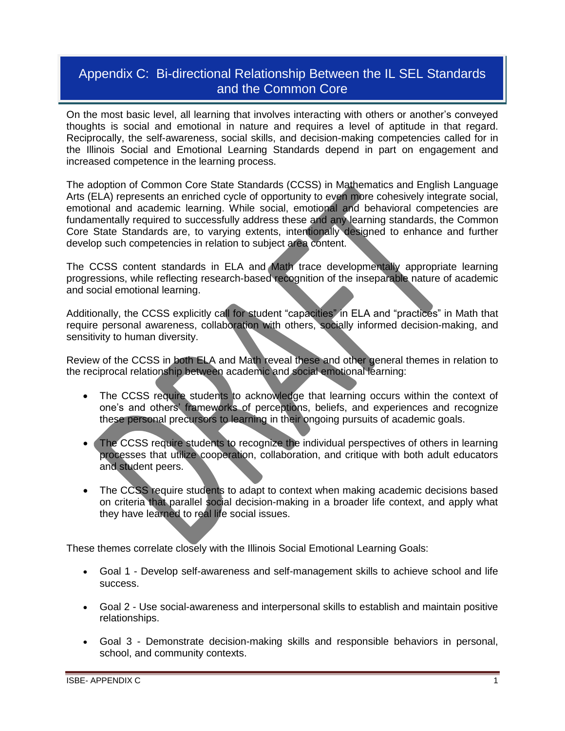# Appendix C: Bi-directional Relationship Between the IL SEL Standards and the Common Core

On the most basic level, all learning that involves interacting with others or another's conveyed thoughts is social and emotional in nature and requires a level of aptitude in that regard. Reciprocally, the self-awareness, social skills, and decision-making competencies called for in the Illinois Social and Emotional Learning Standards depend in part on engagement and increased competence in the learning process.

The adoption of Common Core State Standards (CCSS) in Mathematics and English Language Arts (ELA) represents an enriched cycle of opportunity to even more cohesively integrate social, emotional and academic learning. While social, emotional and behavioral competencies are fundamentally required to successfully address these and any learning standards, the Common Core State Standards are, to varying extents, intentionally designed to enhance and further develop such competencies in relation to subject area content.

The CCSS content standards in ELA and Math trace developmentally appropriate learning progressions, while reflecting research-based recognition of the inseparable nature of academic and social emotional learning.

Additionally, the CCSS explicitly call for student "capacities" in ELA and "practices" in Math that require personal awareness, collaboration with others, socially informed decision-making, and sensitivity to human diversity.

Review of the CCSS in both ELA and Math reveal these and other general themes in relation to the reciprocal relationship between academic and social emotional learning:

- The CCSS require students to acknowledge that learning occurs within the context of one's and others' frameworks of perceptions, beliefs, and experiences and recognize these personal precursors to learning in their ongoing pursuits of academic goals.
- The CCSS require students to recognize the individual perspectives of others in learning processes that utilize cooperation, collaboration, and critique with both adult educators and student peers.
- The CCSS require students to adapt to context when making academic decisions based on criteria that parallel social decision-making in a broader life context, and apply what they have learned to real life social issues.

These themes correlate closely with the Illinois Social Emotional Learning Goals:

- Goal 1 Develop self-awareness and self-management skills to achieve school and life success.
- Goal 2 Use social-awareness and interpersonal skills to establish and maintain positive relationships.
- Goal 3 Demonstrate decision-making skills and responsible behaviors in personal, school, and community contexts.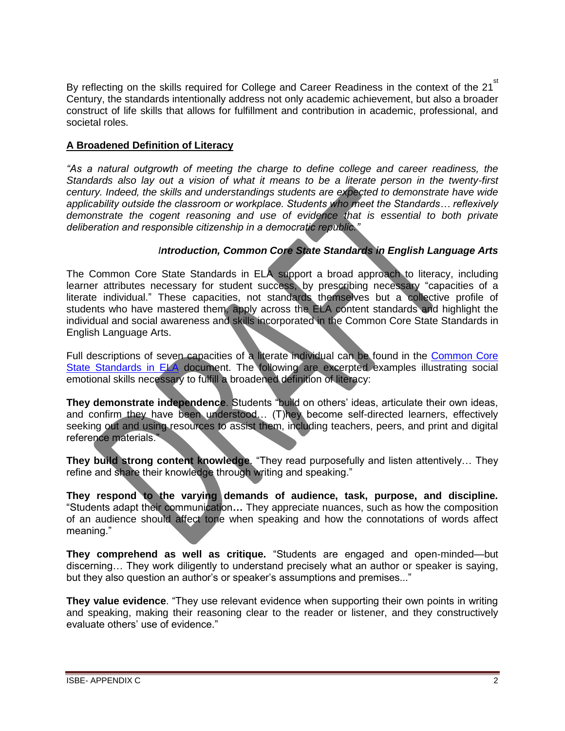By reflecting on the skills required for College and Career Readiness in the context of the 21<sup>st</sup> Century, the standards intentionally address not only academic achievement, but also a broader construct of life skills that allows for fulfillment and contribution in academic, professional, and societal roles.

### **A Broadened Definition of Literacy**

*"As a natural outgrowth of meeting the charge to define college and career readiness, the Standards also lay out a vision of what it means to be a literate person in the twenty-first century. Indeed, the skills and understandings students are expected to demonstrate have wide applicability outside the classroom or workplace. Students who meet the Standards… reflexively demonstrate the cogent reasoning and use of evidence that is essential to both private deliberation and responsible citizenship in a democratic republic."*

## *Introduction, Common Core State Standards in English Language Arts*

The Common Core State Standards in ELA support a broad approach to literacy, including learner attributes necessary for student success, by prescribing necessary "capacities of a literate individual." These capacities, not standards themselves but a collective profile of students who have mastered them, apply across the ELA content standards and highlight the individual and social awareness and skills incorporated in the Common Core State Standards in English Language Arts.

Full descriptions of seven capacities of a literate individual can be found in the [Common Core](http://www.isbe.net/common_core/pls/level1/pdf/ela-standards.pdf)  [State Standards in ELA](http://www.isbe.net/common_core/pls/level1/pdf/ela-standards.pdf) document. The following are excerpted examples illustrating social emotional skills necessary to fulfill a broadened definition of literacy:

**They demonstrate independence**. Students "build on others' ideas, articulate their own ideas, and confirm they have been understood… (T)hey become self-directed learners, effectively seeking out and using resources to assist them, including teachers, peers, and print and digital reference materials."

**They build strong content knowledge**. "They read purposefully and listen attentively… They refine and share their knowledge through writing and speaking."

**They respond to the varying demands of audience, task, purpose, and discipline***.*  "Students adapt their communication**…** They appreciate nuances, such as how the composition of an audience should affect tone when speaking and how the connotations of words affect meaning."

**They comprehend as well as critique.** "Students are engaged and open-minded—but discerning… They work diligently to understand precisely what an author or speaker is saying, but they also question an author's or speaker's assumptions and premises..."

**They value evidence**. "They use relevant evidence when supporting their own points in writing and speaking, making their reasoning clear to the reader or listener, and they constructively evaluate others' use of evidence."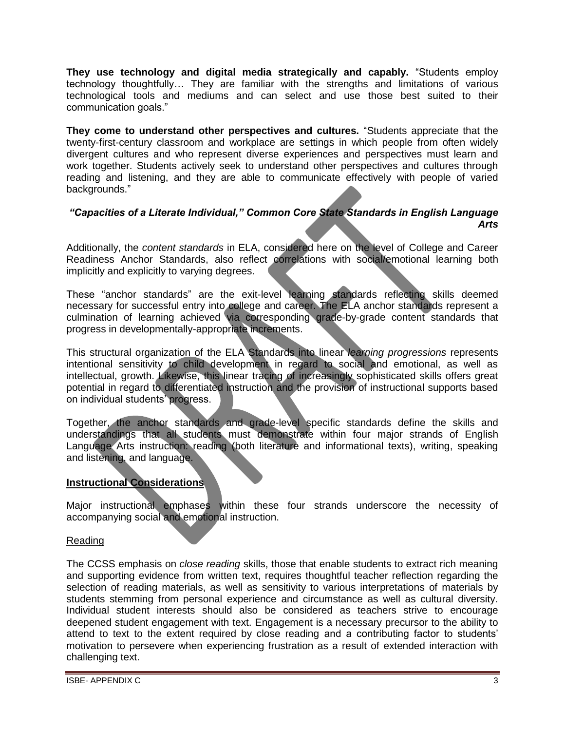**They use technology and digital media strategically and capably.** "Students employ technology thoughtfully… They are familiar with the strengths and limitations of various technological tools and mediums and can select and use those best suited to their communication goals."

**They come to understand other perspectives and cultures.** "Students appreciate that the twenty-first-century classroom and workplace are settings in which people from often widely divergent cultures and who represent diverse experiences and perspectives must learn and work together. Students actively seek to understand other perspectives and cultures through reading and listening, and they are able to communicate effectively with people of varied backgrounds."

#### *"Capacities of a Literate Individual," Common Core State Standards in English Language Arts*

Additionally, the *content standards* in ELA, considered here on the level of College and Career Readiness Anchor Standards, also reflect correlations with social/emotional learning both implicitly and explicitly to varying degrees.

These "anchor standards" are the exit-level learning standards reflecting skills deemed necessary for successful entry into college and career. The ELA anchor standards represent a culmination of learning achieved via corresponding grade-by-grade content standards that progress in developmentally-appropriate increments.

This structural organization of the ELA Standards into linear *learning progressions* represents intentional sensitivity to child development in regard to social and emotional, as well as intellectual, growth. Likewise, this linear tracing of increasingly sophisticated skills offers great potential in regard to differentiated instruction and the provision of instructional supports based on individual students' progress.

Together, the anchor standards and grade-level specific standards define the skills and understandings that all students must demonstrate within four major strands of English Language Arts instruction: reading (both literature and informational texts), writing, speaking and listening, and language.

## **Instructional Considerations**

Major instructional emphases within these four strands underscore the necessity of accompanying social and emotional instruction.

## Reading

The CCSS emphasis on *close reading* skills, those that enable students to extract rich meaning and supporting evidence from written text, requires thoughtful teacher reflection regarding the selection of reading materials, as well as sensitivity to various interpretations of materials by students stemming from personal experience and circumstance as well as cultural diversity. Individual student interests should also be considered as teachers strive to encourage deepened student engagement with text. Engagement is a necessary precursor to the ability to attend to text to the extent required by close reading and a contributing factor to students' motivation to persevere when experiencing frustration as a result of extended interaction with challenging text.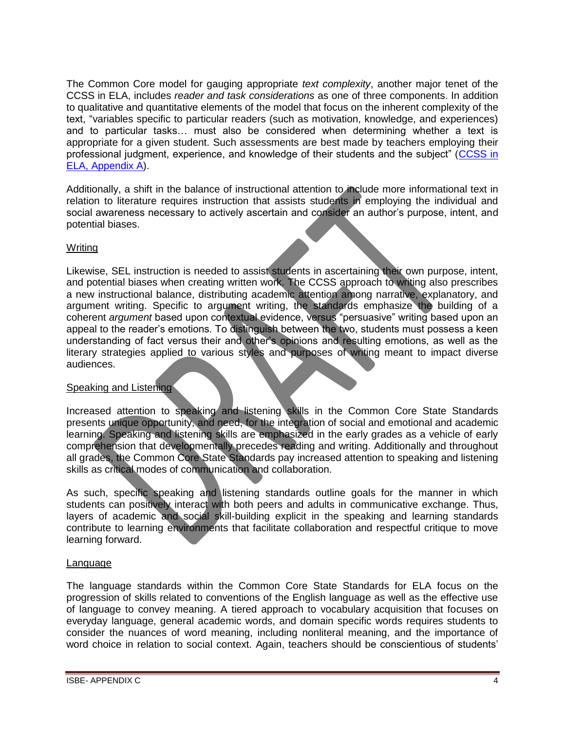The Common Core model for gauging appropriate *text complexity*, another major tenet of the CCSS in ELA, includes *reader and task considerations* as one of three components. In addition to qualitative and quantitative elements of the model that focus on the inherent complexity of the text, "variables specific to particular readers (such as motivation, knowledge, and experiences) and to particular tasks… must also be considered when determining whether a text is appropriate for a given student. Such assessments are best made by teachers employing their professional judgment, experience, and knowledge of their students and the subject" ([CCSS in](http://www.isbe.net/common_core/pls/level1/pdf/ela-standards.pdf)  [ELA, Appendix A\)](http://www.isbe.net/common_core/pls/level1/pdf/ela-standards.pdf).

Additionally, a shift in the balance of instructional attention to include more informational text in relation to literature requires instruction that assists students in employing the individual and social awareness necessary to actively ascertain and consider an author's purpose, intent, and potential biases.

## Writing

Likewise, SEL instruction is needed to assist students in ascertaining their own purpose, intent, and potential biases when creating written work. The CCSS approach to writing also prescribes a new instructional balance, distributing academic attention among narrative, explanatory, and argument writing. Specific to argument writing, the standards emphasize the building of a coherent *argument* based upon contextual evidence, versus "persuasive" writing based upon an appeal to the reader's emotions. To distinguish between the two, students must possess a keen understanding of fact versus their and other's opinions and resulting emotions, as well as the literary strategies applied to various styles and purposes of writing meant to impact diverse audiences.

#### Speaking and Listening

Increased attention to speaking and listening skills in the Common Core State Standards presents unique opportunity, and need, for the integration of social and emotional and academic learning. Speaking and listening skills are emphasized in the early grades as a vehicle of early comprehension that developmentally precedes reading and writing. Additionally and throughout all grades, the Common Core State Standards pay increased attention to speaking and listening skills as critical modes of communication and collaboration.

As such, specific speaking and listening standards outline goals for the manner in which students can positively interact with both peers and adults in communicative exchange. Thus, layers of academic and social skill-building explicit in the speaking and learning standards contribute to learning environments that facilitate collaboration and respectful critique to move learning forward.

#### Language

The language standards within the Common Core State Standards for ELA focus on the progression of skills related to conventions of the English language as well as the effective use of language to convey meaning. A tiered approach to vocabulary acquisition that focuses on everyday language, general academic words, and domain specific words requires students to consider the nuances of word meaning, including nonliteral meaning, and the importance of word choice in relation to social context. Again, teachers should be conscientious of students'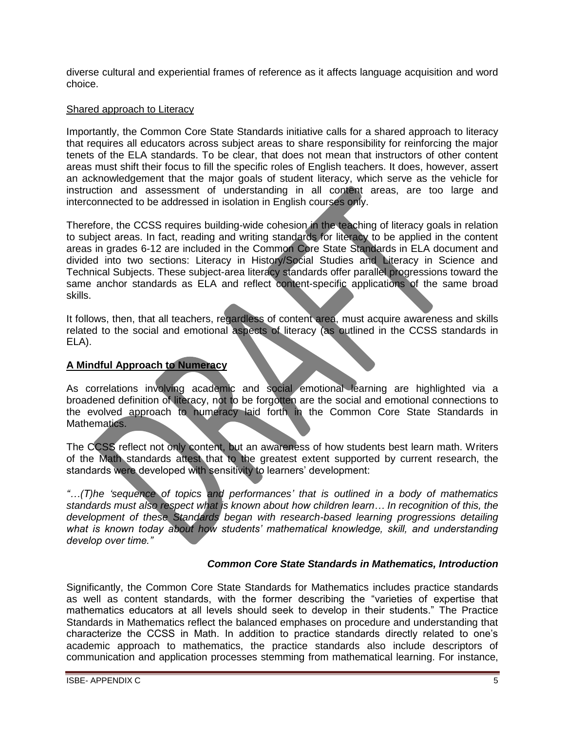diverse cultural and experiential frames of reference as it affects language acquisition and word choice.

#### Shared approach to Literacy

Importantly, the Common Core State Standards initiative calls for a shared approach to literacy that requires all educators across subject areas to share responsibility for reinforcing the major tenets of the ELA standards. To be clear, that does not mean that instructors of other content areas must shift their focus to fill the specific roles of English teachers. It does, however, assert an acknowledgement that the major goals of student literacy, which serve as the vehicle for instruction and assessment of understanding in all content areas, are too large and interconnected to be addressed in isolation in English courses only.

Therefore, the CCSS requires building-wide cohesion in the teaching of literacy goals in relation to subject areas. In fact, reading and writing standards for literacy to be applied in the content areas in grades 6-12 are included in the Common Core State Standards in ELA document and divided into two sections: Literacy in History/Social Studies and Literacy in Science and Technical Subjects. These subject-area literacy standards offer parallel progressions toward the same anchor standards as ELA and reflect content-specific applications of the same broad skills.

It follows, then, that all teachers, regardless of content area, must acquire awareness and skills related to the social and emotional aspects of literacy (as outlined in the CCSS standards in ELA).

### **A Mindful Approach to Numeracy**

As correlations involving academic and social emotional learning are highlighted via a broadened definition of literacy, not to be forgotten are the social and emotional connections to the evolved approach to numeracy laid forth in the Common Core State Standards in Mathematics.

The CCSS reflect not only content, but an awareness of how students best learn math. Writers of the Math standards attest that to the greatest extent supported by current research, the standards were developed with sensitivity to learners' development:

*"…(T)he 'sequence of topics and performances' that is outlined in a body of mathematics standards must also respect what is known about how children learn… In recognition of this, the development of these Standards began with research-based learning progressions detailing what is known today about how students' mathematical knowledge, skill, and understanding develop over time."* 

#### *Common Core State Standards in Mathematics, Introduction*

Significantly, the Common Core State Standards for Mathematics includes practice standards as well as content standards, with the former describing the "varieties of expertise that mathematics educators at all levels should seek to develop in their students." The Practice Standards in Mathematics reflect the balanced emphases on procedure and understanding that characterize the CCSS in Math. In addition to practice standards directly related to one's academic approach to mathematics, the practice standards also include descriptors of communication and application processes stemming from mathematical learning. For instance,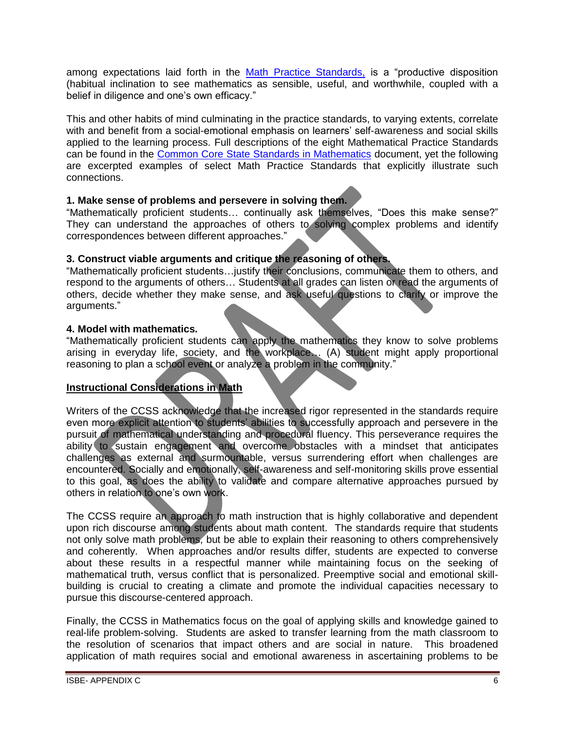among expectations laid forth in the [Math Practice Standards,](http://www.isbe.net/common_core/pls/level1/pdf/math-standards.pdf) is a "productive disposition (habitual inclination to see mathematics as sensible, useful, and worthwhile, coupled with a belief in diligence and one's own efficacy."

This and other habits of mind culminating in the practice standards, to varying extents, correlate with and benefit from a social-emotional emphasis on learners' self-awareness and social skills applied to the learning process. Full descriptions of the eight Mathematical Practice Standards can be found in the [Common Core State Standards in Mathematics](http://www.isbe.net/common_core/pls/level1/pdf/math-standards.pdf) document, yet the following are excerpted examples of select Math Practice Standards that explicitly illustrate such connections.

## **1. Make sense of problems and persevere in solving them.**

"Mathematically proficient students… continually ask themselves, "Does this make sense?" They can understand the approaches of others to solving complex problems and identify correspondences between different approaches."

### **3. Construct viable arguments and critique the reasoning of others.**

"Mathematically proficient students…justify their conclusions, communicate them to others, and respond to the arguments of others… Students at all grades can listen or read the arguments of others, decide whether they make sense, and ask useful questions to clarify or improve the arguments."

### **4. Model with mathematics.**

"Mathematically proficient students can apply the mathematics they know to solve problems arising in everyday life, society, and the workplace… (A) student might apply proportional reasoning to plan a school event or analyze a problem in the community."

## **Instructional Considerations in Math**

Writers of the CCSS acknowledge that the increased rigor represented in the standards require even more explicit attention to students' abilities to successfully approach and persevere in the pursuit of mathematical understanding and procedural fluency. This perseverance requires the ability to sustain engagement and overcome obstacles with a mindset that anticipates challenges as external and surmountable, versus surrendering effort when challenges are encountered. Socially and emotionally, self-awareness and self-monitoring skills prove essential to this goal, as does the ability to validate and compare alternative approaches pursued by others in relation to one's own work.

The CCSS require an approach to math instruction that is highly collaborative and dependent upon rich discourse among students about math content. The standards require that students not only solve math problems, but be able to explain their reasoning to others comprehensively and coherently. When approaches and/or results differ, students are expected to converse about these results in a respectful manner while maintaining focus on the seeking of mathematical truth, versus conflict that is personalized. Preemptive social and emotional skillbuilding is crucial to creating a climate and promote the individual capacities necessary to pursue this discourse-centered approach.

Finally, the CCSS in Mathematics focus on the goal of applying skills and knowledge gained to real-life problem-solving. Students are asked to transfer learning from the math classroom to the resolution of scenarios that impact others and are social in nature. This broadened application of math requires social and emotional awareness in ascertaining problems to be